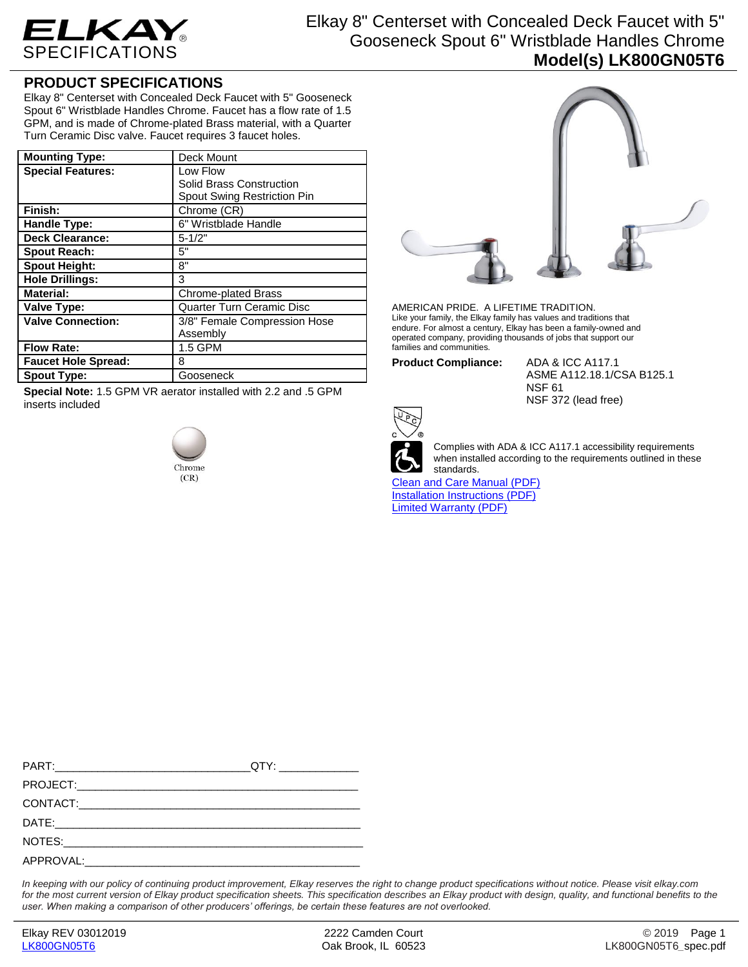

## Elkay 8" Centerset with Concealed Deck Faucet with 5" Gooseneck Spout 6" Wristblade Handles Chrome **Model(s) LK800GN05T6**

## **PRODUCT SPECIFICATIONS**

Elkay 8" Centerset with Concealed Deck Faucet with 5" Gooseneck Spout 6" Wristblade Handles Chrome. Faucet has a flow rate of 1.5 GPM, and is made of Chrome-plated Brass material, with a Quarter Turn Ceramic Disc valve. Faucet requires 3 faucet holes.

| <b>Mounting Type:</b>      | Deck Mount                         |
|----------------------------|------------------------------------|
| <b>Special Features:</b>   | Low Flow                           |
|                            | Solid Brass Construction           |
|                            | <b>Spout Swing Restriction Pin</b> |
| Finish:                    | Chrome (CR)                        |
| <b>Handle Type:</b>        | 6" Wristblade Handle               |
| <b>Deck Clearance:</b>     | $5 - 1/2"$                         |
| <b>Spout Reach:</b>        | 5"                                 |
| <b>Spout Height:</b>       | 8"                                 |
| <b>Hole Drillings:</b>     | 3                                  |
| <b>Material:</b>           | <b>Chrome-plated Brass</b>         |
| Valve Type:                | <b>Quarter Turn Ceramic Disc</b>   |
| <b>Valve Connection:</b>   | 3/8" Female Compression Hose       |
|                            | Assembly                           |
| <b>Flow Rate:</b>          | 1.5 GPM                            |
| <b>Faucet Hole Spread:</b> | 8                                  |
| <b>Spout Type:</b>         | Gooseneck                          |

**Special Note:** 1.5 GPM VR aerator installed with 2.2 and .5 GPM inserts included





AMERICAN PRIDE. A LIFETIME TRADITION. Like your family, the Elkay family has values and traditions that endure. For almost a century, Elkay has been a family-owned and operated company, providing thousands of jobs that support our families and communities.

**Product Compliance:** ADA & ICC A117.1

ASME A112.18.1/CSA B125.1 NSF 61 NSF 372 (lead free)



Complies with ADA & ICC A117.1 accessibility requirements when installed according to the requirements outlined in these standards.

[Clean and Care Manual \(PDF\)](http://www.elkay.com/wcsstore/lkdocs/care-cleaning-install-warranty-sheets/residential%20and%20commercial%20care%20%20cleaning.pdf) [Installation Instructions \(PDF\)](http://www.elkay.com/wcsstore/lkdocs/care-cleaning-install-warranty-sheets/a55483.pdf) [Limited Warranty](http://www.elkay.com/wcsstore/lkdocs/care-cleaning-install-warranty-sheets/commercial%20sinks%20and%20faucets%20warranty.pdf) (PDF)

*In keeping with our policy of continuing product improvement, Elkay reserves the right to change product specifications without notice. Please visit elkay.com*  for the most current version of Elkay product specification sheets. This specification describes an Elkay product with design, quality, and functional benefits to the *user. When making a comparison of other producers' offerings, be certain these features are not overlooked.*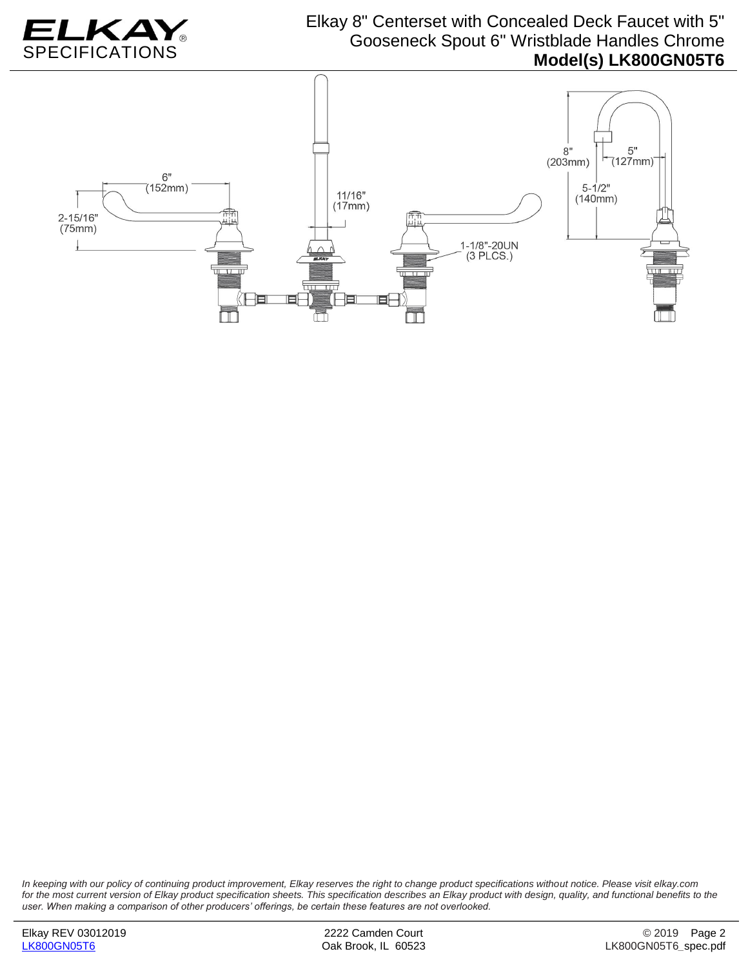

## Elkay 8" Centerset with Concealed Deck Faucet with 5" Gooseneck Spout 6" Wristblade Handles Chrome **Model(s) LK800GN05T6**



*In keeping with our policy of continuing product improvement, Elkay reserves the right to change product specifications without notice. Please visit elkay.com*  for the most current version of Elkay product specification sheets. This specification describes an Elkay product with design, quality, and functional benefits to the *user. When making a comparison of other producers' offerings, be certain these features are not overlooked.*